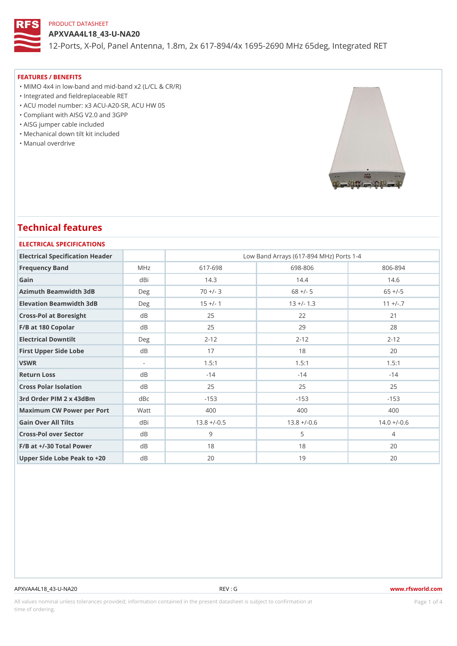APXVAA4L18\_43-U-NA20

12-Ports, X-Pol, Panel Antenna, 1.8m, 2x 617-894/4x 1695-2690 MHz 6

#### FEATURES / BENEFITS

"MIMO 4x4 in low-band and mid-band x2 (L/CL & CR/R)

"Integrated and fieldreplaceable RET

"ACU model number: x3 ACU-A20-SR, ACU HW 05

"Compliant with AISG V2.0 and 3GPP

- "AISG jumper cable included
- "Mechanical down tilt kit included
- "Manual overdrive

# Technical features

| ELECTRICAL SPECIFICATIONS |
|---------------------------|
|                           |

| Electrical Specification Header |        | Low Band Arrays (617-894 MHz) Ports 1-4 |                |                |  |  |  |
|---------------------------------|--------|-----------------------------------------|----------------|----------------|--|--|--|
| Frequency Band                  | M H z  | $617 - 698$                             | 698-806        | $806 - 894$    |  |  |  |
| Gain                            | dBi    | 14.3                                    | 14.4           | 14.6           |  |  |  |
| Azimuth Beamwidth 3dB           | Deg    | $70 +/- 3$                              | $68$ +/- 5     | $65 + (-5)$    |  |  |  |
| Elevation Beamwidth 3dB         | D e g  | $15 +/- 1$                              | $13 + (-1.3)$  | $11 + (-7)$    |  |  |  |
| Cross-Pol at Boresight          | d B    | 25                                      | 22             | 21             |  |  |  |
| F/B at 180 Copolar              | d B    | 25                                      | 29             | 28             |  |  |  |
| Electrical Downtilt             | Deg    | $2 - 12$                                | $2 - 12$       | $2 - 12$       |  |  |  |
| First Upper Side Lobe           | d B    | 17                                      | 18             | 20             |  |  |  |
| VSWR                            | $\sim$ | 1.5:1                                   | 1.5:1          | 1.5:1          |  |  |  |
| Return Loss                     | d B    | $-14$                                   | $-14$          | $-14$          |  |  |  |
| Cross Polar Isolation           | d B    | 25                                      | 25             | 25             |  |  |  |
| 3rd Order PIM 2 x 43dBm         | dBc    | $-153$                                  | $-153$         | $-153$         |  |  |  |
| Maximum CW Power per PorMatt    |        | 400                                     | 400            | 400            |  |  |  |
| Gain Over All Tilts             | dBi    | $13.8 + (-0.5$                          | $13.8 + (-0.6$ | $14.0 + (-0.6$ |  |  |  |
| Cross-Pol over Sector           | $d$ B  | 9                                       | 5              | $\overline{4}$ |  |  |  |
| $F/B$ at $+/-30$ Total Power    | d B    | 18                                      | 18             | 20             |  |  |  |
| Upper Side Lobe Peak to +20B    |        | 20                                      | 19             | 20             |  |  |  |

#### APXVAA4L18\_43-U-NA20 REV : G www.rfsworld.com

All values nominal unless tolerances provided; information contained in the present datasheet is subject to Pcaogneion finaltion time of ordering.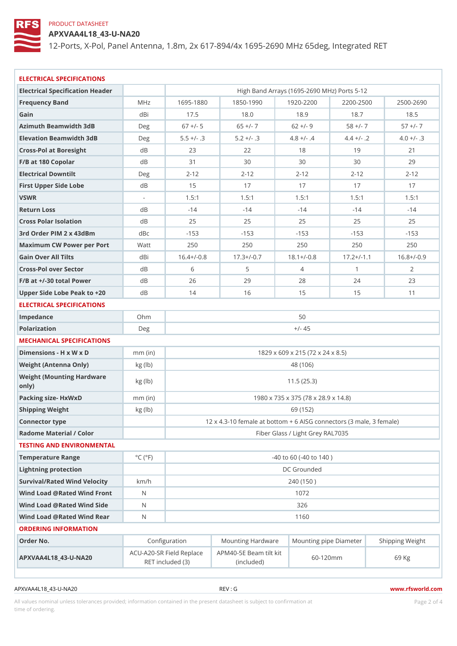APXVAA4L18\_43-U-NA20

12-Ports, X-Pol, Panel Antenna, 1.8m, 2x 617-894/4x 1695-2690 MHz 6

| ELECTRICAL SPECIFICATIONS                              |                             |                                                                                             |                |                                                      |                |                 |  |  |  |
|--------------------------------------------------------|-----------------------------|---------------------------------------------------------------------------------------------|----------------|------------------------------------------------------|----------------|-----------------|--|--|--|
| Electrical Specification Header                        |                             |                                                                                             |                | High Band Arrays (1695-2690 MHz) Ports 5-12          |                |                 |  |  |  |
| Frequency Band                                         | M H z                       | $1695 - 1880$                                                                               | $1850 - 1990$  | $1920 - 2201$                                        | $2200 - 2500$  | $2500 - 2690$   |  |  |  |
| Gain                                                   | dBi                         | 17.5                                                                                        | 18.0           | 18.9                                                 | 18.7           | 18.5            |  |  |  |
| Azimuth Beamwidth 3dB                                  | Deg                         | $67$ +/- 5                                                                                  | $65 +/-7$      | $62 +/- 9$                                           | $58 +/- 7$     | $57 +/- 7$      |  |  |  |
| Elevation Beamwidth 3dB                                | Deg                         | $5.5 +/-$ . 3                                                                               | $5.2 +/- .3$   | $4.8 +/- .4$                                         | $4.4 +/-$ . 2  | $4.0 +/- .3$    |  |  |  |
| Cross-Pol at Boresight                                 | d B                         | 23                                                                                          | 22             | 18                                                   | 19             | 21              |  |  |  |
| F/B at 180 Copolar                                     | d B                         | 31                                                                                          | 30             | 30                                                   | 30             | 29              |  |  |  |
| Electrical Downtilt                                    | Deg                         | $2 - 12$                                                                                    | $2 - 12$       | $2 - 12$                                             | $2 - 12$       | $2 - 12$        |  |  |  |
| First Upper Side Lobe                                  | d B                         | 15                                                                                          | 17             | 17                                                   | 17             | 17              |  |  |  |
| VSWR                                                   | $\sim$                      | 1.5:1                                                                                       | 1.5:1          | 1.5:1                                                | 1.5:1          | 1.5:1           |  |  |  |
| Return Loss                                            | d B                         | $-14$                                                                                       | $-14$          | $-14$                                                | $-14$          | $-14$           |  |  |  |
| Cross Polar Isolation                                  | $d$ B                       | 25                                                                                          | 25             | 25                                                   | 25             | 25              |  |  |  |
| 3rd Order PIM 2 x 43dBm                                | d B c                       | $-153$                                                                                      | $-153$         | $-153$                                               | $-153$         | $-153$          |  |  |  |
| Maximum CW Power per Por Matt                          |                             | 250                                                                                         | 250            | 250                                                  | 250            | 250             |  |  |  |
| Gain Over All Tilts                                    | dBi                         | $16.4+/-0.8$                                                                                | $17.3 + (-0.7$ | $18.1+/-0.8$                                         | $17.2 + (-1.1$ | $16.8 + (-0.9)$ |  |  |  |
| Cross-Pol over Sector                                  | d B                         | 6                                                                                           | 5              | 4                                                    | $\mathbf{1}$   | 2               |  |  |  |
| $F/B$ at $+/-30$ total Power                           | d B                         | 26                                                                                          | 29             | 28                                                   | 24             | 23              |  |  |  |
| Upper Side Lobe Peak to +20B                           |                             | 14                                                                                          | 16             | 15                                                   | 15             | 11              |  |  |  |
| ELECTRICAL SPECIFICATIONS                              |                             |                                                                                             |                |                                                      |                |                 |  |  |  |
| Impedance                                              | Ohm                         | 50                                                                                          |                |                                                      |                |                 |  |  |  |
| Polarization                                           | Deg                         | $+/- 45$                                                                                    |                |                                                      |                |                 |  |  |  |
| MECHANICAL SPECIFICATIONS                              |                             |                                                                                             |                |                                                      |                |                 |  |  |  |
| Dimensions - H x W x D                                 | $mm$ (in)                   | 1829 x 609 x 215 (72 x 24 x 8.5)                                                            |                |                                                      |                |                 |  |  |  |
| Weight (Antenna Only)                                  | kg (lb)                     |                                                                                             |                | 48 (106)                                             |                |                 |  |  |  |
| Weight (Mounting Hardware kg (lb)<br>$\circ$ n l y $)$ |                             | 11.5(25.3)                                                                                  |                |                                                      |                |                 |  |  |  |
| Packing size- HxWxD                                    | $mm$ (in)                   | 1980 x 735 x 375 (78 x 28.9 x 14.8)                                                         |                |                                                      |                |                 |  |  |  |
| Shipping Weight                                        | kg (lb)                     | 69 (152)                                                                                    |                |                                                      |                |                 |  |  |  |
| Connector type                                         |                             | 12 x 4.3-10 female at bottom + 6 AISG connectors $(3 \mid \text{mal})$                      |                |                                                      |                |                 |  |  |  |
| Radome Material / Color                                |                             | Fiber Glass / Light Grey RAL7035                                                            |                |                                                      |                |                 |  |  |  |
| TESTING AND ENVIRONMENTAL                              |                             |                                                                                             |                |                                                      |                |                 |  |  |  |
| Temperature Range                                      | $^{\circ}$ C ( $^{\circ}$ F | $-40$ to 60 ( $-40$ to 140)                                                                 |                |                                                      |                |                 |  |  |  |
| Lightning protection                                   |                             | DC Grounded                                                                                 |                |                                                      |                |                 |  |  |  |
| Survival/Rated Wind Velocikm/h                         |                             | 240 (150)                                                                                   |                |                                                      |                |                 |  |  |  |
| Wind Load @ Rated Wind Front                           |                             | 1072                                                                                        |                |                                                      |                |                 |  |  |  |
| Wind Load @ Rated Wind Sidd                            |                             | 326                                                                                         |                |                                                      |                |                 |  |  |  |
| Wind Load @ Rated Wind ReaN                            |                             | 1160                                                                                        |                |                                                      |                |                 |  |  |  |
| ORDERING INFORMATION                                   |                             |                                                                                             |                |                                                      |                |                 |  |  |  |
| Order No.                                              |                             | Configuration                                                                               |                | Mounting HardwaMeunting pipe DiameStheirpping Weight |                |                 |  |  |  |
| APXVAA4L18_43-U-NA2D                                   |                             | ACU–A20–SR Field R&PMa4@–5E Beam tilt kit 60–120mm<br>69 Kg<br>RET included (3)<br>(include |                |                                                      |                |                 |  |  |  |

APXVAA4L18\_43-U-NA20 REV : G www.rfsworld.com

All values nominal unless tolerances provided; information contained in the present datasheet is subject to Pcapgéio $2$ fnattio time of ordering.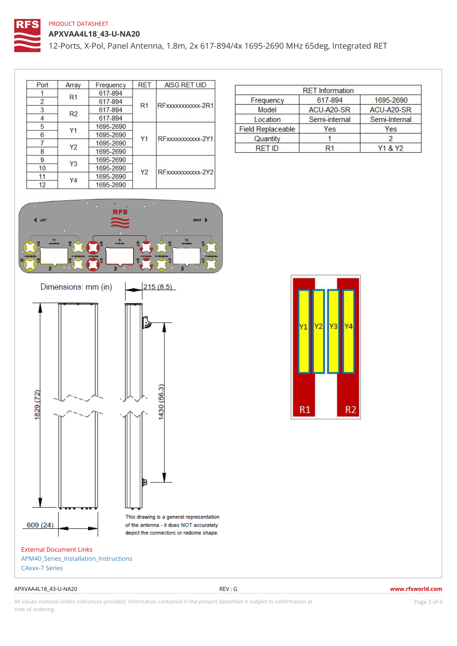APXVAA4L18\_43-U-NA20 12-Ports, X-Pol, Panel Antenna, 1.8m, 2x 617-894/4x 1695-2690 MHz 6

External Document Links [APM40\\_Series\\_Installatio](https://www.rfsworld.com/images/base_station_antennas/rfs_mounting_kit_apm40/10000001144 apm40-5e.pdf)n\_Instructions [CAxxx-7 S](https://www.rfsworld.com/images/datasheets/bsa panel antennas/caxxx-7 series.pdf)eries

#### APXVAA4L18\_43-U-NA20 REV : G www.rfsworld.com

All values nominal unless tolerances provided; information contained in the present datasheet is subject to PcapgéinGM attional time of ordering.